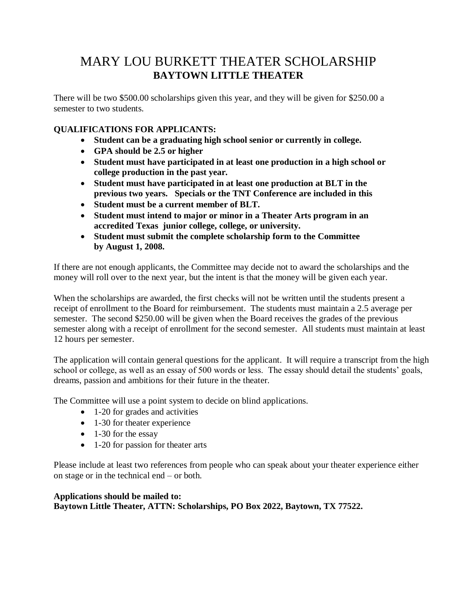## MARY LOU BURKETT THEATER SCHOLARSHIP **BAYTOWN LITTLE THEATER**

There will be two \$500.00 scholarships given this year, and they will be given for \$250.00 a semester to two students.

## **QUALIFICATIONS FOR APPLICANTS:**

- **Student can be a graduating high school senior or currently in college.**
- **GPA should be 2.5 or higher**
- **Student must have participated in at least one production in a high school or college production in the past year.**
- **Student must have participated in at least one production at BLT in the previous two years. Specials or the TNT Conference are included in this**
- **Student must be a current member of BLT.**
- **Student must intend to major or minor in a Theater Arts program in an accredited Texas junior college, college, or university.**
- **Student must submit the complete scholarship form to the Committee by August 1, 2008.**

If there are not enough applicants, the Committee may decide not to award the scholarships and the money will roll over to the next year, but the intent is that the money will be given each year.

When the scholarships are awarded, the first checks will not be written until the students present a receipt of enrollment to the Board for reimbursement. The students must maintain a 2.5 average per semester. The second \$250.00 will be given when the Board receives the grades of the previous semester along with a receipt of enrollment for the second semester. All students must maintain at least 12 hours per semester.

The application will contain general questions for the applicant. It will require a transcript from the high school or college, as well as an essay of 500 words or less. The essay should detail the students' goals, dreams, passion and ambitions for their future in the theater.

The Committee will use a point system to decide on blind applications.

- 1-20 for grades and activities
- 1-30 for theater experience
- $\bullet$  1-30 for the essay
- 1-20 for passion for theater arts

Please include at least two references from people who can speak about your theater experience either on stage or in the technical end – or both.

## **Applications should be mailed to:**

**Baytown Little Theater, ATTN: Scholarships, PO Box 2022, Baytown, TX 77522.**